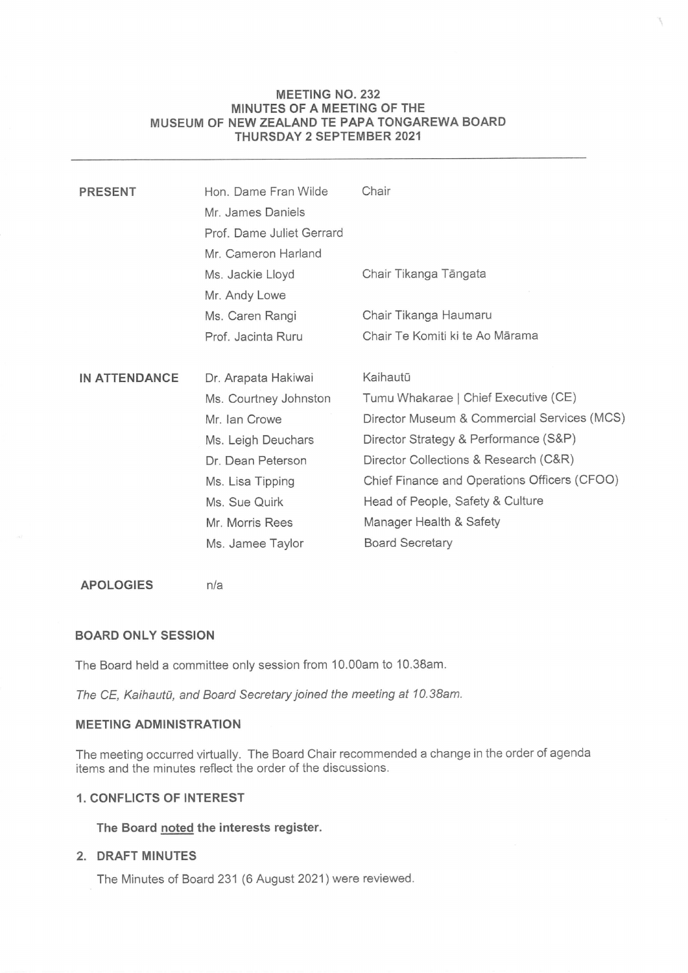# MEETING NO.232 MINUTES OF A MEETING OF THE MUSEUM OF NEW ZEALAND TE PAPA TONGAREWA BOARD MEETING NO. 232<br>MINUTES OF A MEETING OF THE<br>MUSEUM OF NEW ZEALAND TE PAPA TONGAREWA BOARD<br>THURSDAY 2 SEPTEMBER 2021 THURSDAY 2 SEPTEMBER 2021

| <b>PRESENT</b> | Hon. Dame Fran Wilde      | Chair                                        |
|----------------|---------------------------|----------------------------------------------|
|                | Mr. James Daniels         |                                              |
|                | Prof. Dame Juliet Gerrard |                                              |
|                | Mr. Cameron Harland       |                                              |
|                | Ms. Jackie Lloyd          | Chair Tikanga Tāngata                        |
|                | Mr. Andy Lowe             |                                              |
|                | Ms. Caren Rangi           | Chair Tikanga Haumaru                        |
|                | Prof. Jacinta Ruru        | Chair Te Komiti ki te Ao Mārama              |
|                |                           |                                              |
| IN ATTENDANCE  | Dr. Arapata Hakiwai       | Kaihautū                                     |
|                | Ms. Courtney Johnston     | Tumu Whakarae   Chief Executive (CE)         |
|                | Mr. Ian Crowe             | Director Museum & Commercial Services (MCS)  |
|                | Ms. Leigh Deuchars        | Director Strategy & Performance (S&P)        |
|                | Dr. Dean Peterson         | Director Collections & Research (C&R)        |
|                | Ms. Lisa Tipping          | Chief Finance and Operations Officers (CFOO) |
|                | Ms. Sue Quirk             | Head of People, Safety & Culture             |
|                | Mr. Morris Rees           | Manager Health & Safety                      |
|                | Ms. Jamee Taylor          | <b>Board Secretary</b>                       |
|                |                           |                                              |

# APOLOGIES n/a

# BOARD ONLY SESSION

The Board held a committee only session from 10.00am to 10.38am.

The CE, Kaihautū, and Board Secretary joined the meeting at 10.38am.

# MEETING ADMINISTRATION

The meeting occurred virtually. The Board Chair recommended <sup>a</sup> change in the order of agenda items and the minutes reflect the order of the discussions.

# 1. CONFLICTS OF INTEREST

# The Board noted the interests register.

# 2. DRAFT MINUTES

The Minutes of Board 231 (6 August 2021) were reviewed.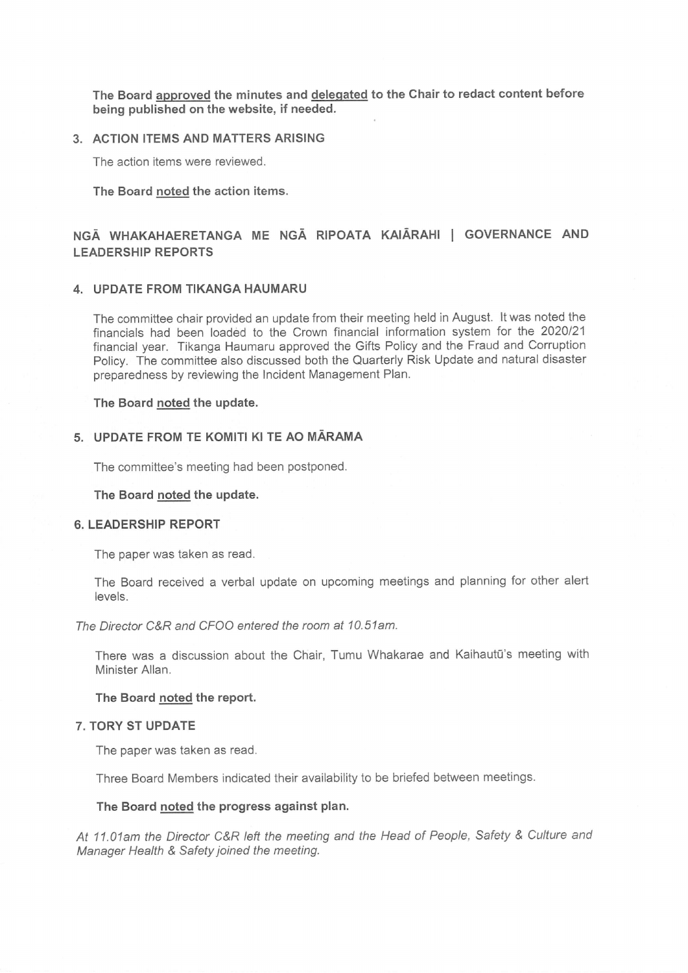The Board approved the minutes and delegated to the Chair to redact content before being published on the website, if needed.

### 3. ACTION ITEMS AND MATTERSARISING

The action items were reviewed.

The Board noted the action items.

# NGA WHAKAHAERETANGA ME NGA RIPOATA KAIARAHI <sup>|</sup> GOVERNANCE AND LEADERSHIP REPORTS

#### 4. UPDATE FROM TIKANGA HAUMARU

The committee chair provided an update from their meeting held in August. It was noted the financials had been loadéd to the Crown financial information system for the 2020/21 financial year. Tikanga Haumaru approved the Gifts Policy and the Fraud and Corruption Policy. The committee also discussed both the Quarterly Risk Update and natural disaster preparedness by reviewing the Incident Management Plan.

#### The Board noted the update.

#### 5. UPDATE FROM TE KOMITI KI TE AO MARAMA

The committee's meeting had been postponed.

# UPDATE FROM<br>The committee's r<br>The Board <u>noted</u> The Board noted the update.

#### 6. LEADERSHIP REPORT

The paper was taken as read.

The Board received a verbal update on upcoming meetings and planning for other alert levels.

The Director C&R and CFOO entered the room at 10.51am.

There was a discussion about the Chair, Tumu Whakarae and Kaihautū's meeting with Minister Allan.

#### The Board noted the report.

#### 7. TORY ST UPDATE

The paper was taken as read.

Three Board Members indicated their availability to be briefed between meetings.

#### The Board noted the progress against plan.

At 11.01am the Director C&R left the meeting and the Head of People, Safety & Culture and Manager Health & Safety joined the meeting.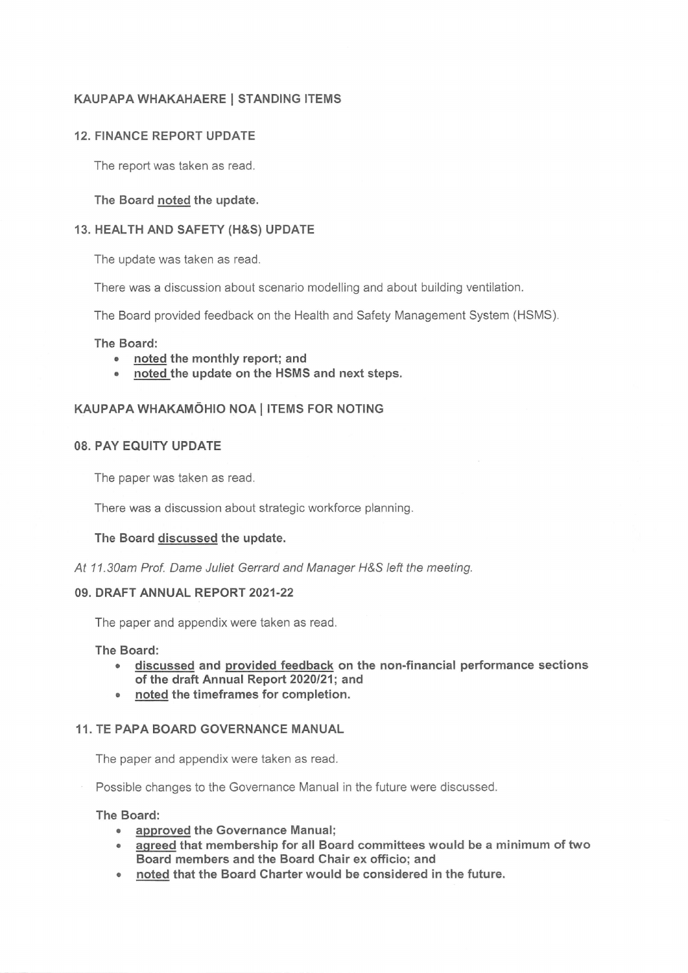# KAUPAPA WHAKAHAERE| STANDING ITEMS

# 12. FINANCE REPORT UPDATE

The report was taken as read.

The Board noted the update.

# 13. HEALTH AND SAFETY (H&S) UPDATE

The update was taken as read.

There was a discussion about scenario modelling and about building ventilation.

The Board provided feedback on the Health and Safety Management System (HSMS).

### The Board:

- <sup>e</sup> noted the monthly report; and
- <sup>e</sup> noted the update on the HSMS and next steps.

# KAUPAPA WHAKAMOHIO NOA| ITEMS FOR NOTING

# 08. PAY EQUITY UPDATE

The paper was taken as read.

There was a discussion about strategic workforce planning.

# The Board discussed the update.

At 11.30am Prof. Dame Juliet Gerrard and Manager H&S left the meeting.

#### 09. DRAFT ANNUAL REPORT 2021-22

The paper and appendix were taken as read.

The Board:

- <sup>e</sup> discussed and provided feedback on the non-financial performance sections of the draft Annual Report 2020/21; and
- <sup>e</sup> noted the timeframes for completion.

# 11. TE PAPA BOARD GOVERNANCE MANUAL

The paper and appendix were taken as read.

Possible changes to the Governance Manual in the future were discussed.

The Board:

- approved the Governance Manual;
- <sup>e</sup> agreed that membershipfor all Board committees would be <sup>a</sup> minimum of two Board members and the Board Chair ex officio; and
- <sup>e</sup> noted that the Board Charter would be considered in the future.